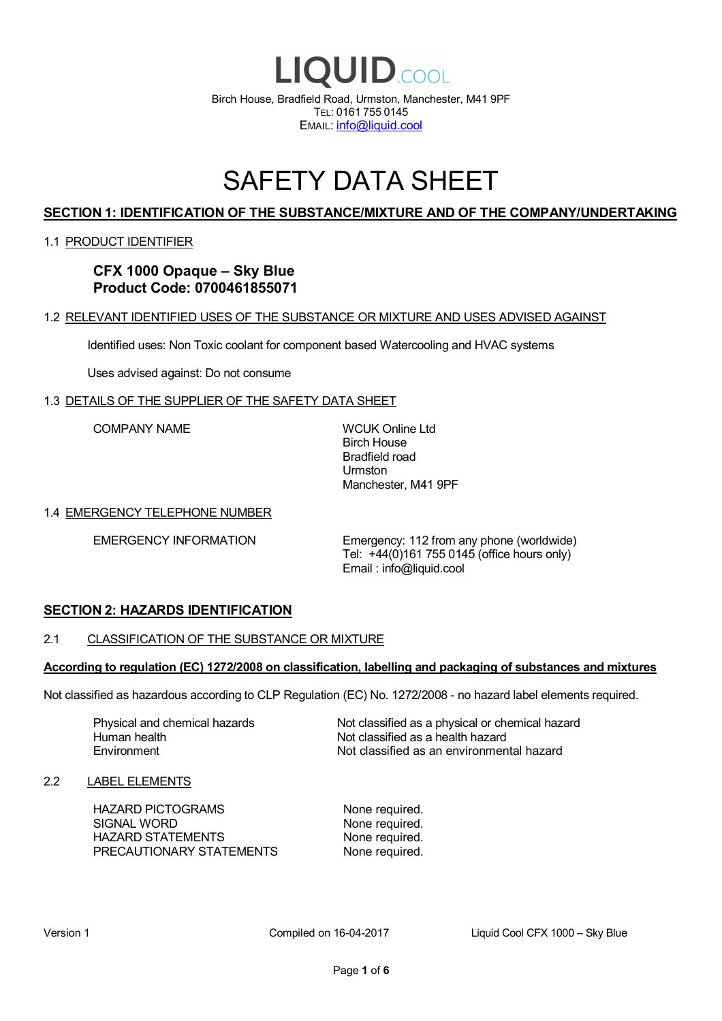

# SAFETY DATA SHEET

# **SECTION 1: IDENTIFICATION OF THE SUBSTANCE/MIXTURE AND OF THE COMPANY/UNDERTAKING**

#### 1.1 PRODUCT IDENTIFIER

**CFX 1000 Opaque – Sky Blue Product Code: 0700461855071**

#### 1.2 RELEVANT IDENTIFIED USES OF THE SUBSTANCE OR MIXTURE AND USES ADVISED AGAINST

Identified uses: Non Toxic coolant for component based Watercooling and HVAC systems

Uses advised against: Do not consume

#### 1.3 DETAILS OF THE SUPPLIER OF THE SAFETY DATA SHEET

COMPANY NAME WCUK Online Ltd

Birch House Bradfield road Urmston Manchester, M41 9PF

#### 1.4 EMERGENCY TELEPHONE NUMBER

EMERGENCY INFORMATION Emergency: 112 from any phone (worldwide) Tel: +44(0)161 755 0145 (office hours only) Email : info@liquid.cool

#### **SECTION 2: HAZARDS IDENTIFICATION**

#### 2.1 CLASSIFICATION OF THE SUBSTANCE OR MIXTURE

#### **According to regulation (EC) 1272/2008 on classification, labelling and packaging of substances and mixtures**

Not classified as hazardous according to CLP Regulation (EC) No. 1272/2008 - no hazard label elements required.

Human health **Environment** 

Physical and chemical hazards Not classified as a physical or chemical hazard Not classified as a health hazard Not classified as an environmental hazard

#### 2.2 LABEL ELEMENTS

HAZARD PICTOGRAMS None required. SIGNAL WORD None required. HAZARD STATEMENTS None required. PRECAUTIONARY STATEMENTS None required.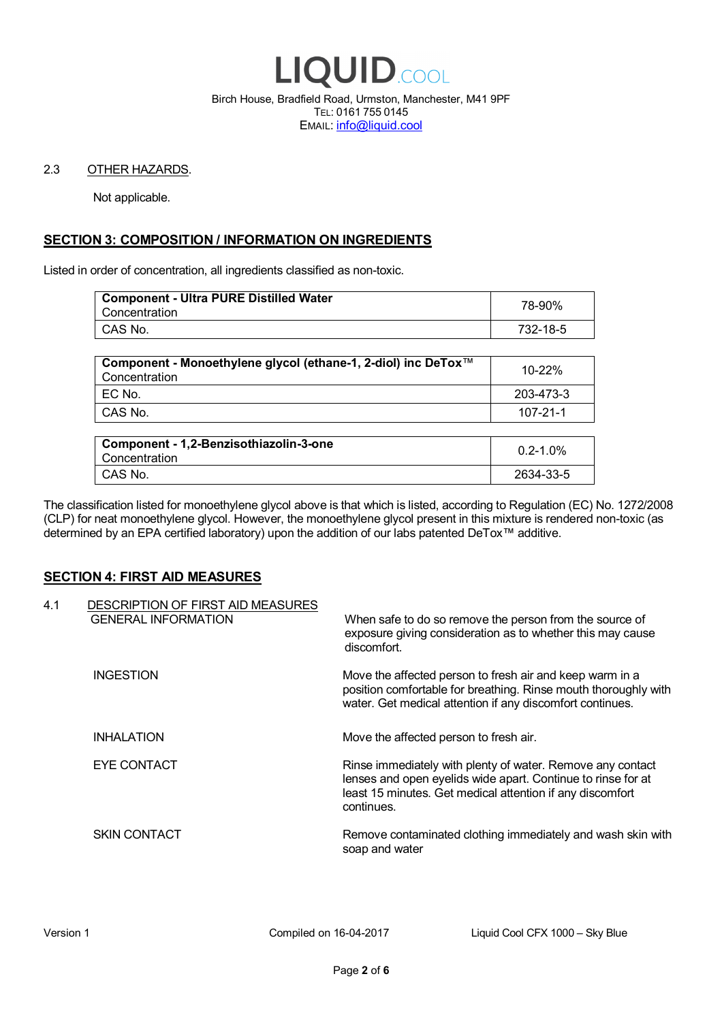

Birch House, Bradfield Road, Urmston, Manchester, M41 9PF TEL: 0161 755 0145 EMAIL: info@liquid.cool

#### 2.3 OTHER HAZARDS.

Not applicable.

# **SECTION 3: COMPOSITION / INFORMATION ON INGREDIENTS**

Listed in order of concentration, all ingredients classified as non-toxic.

| <b>Component - Ultra PURE Distilled Water</b><br>Concentration | 78-90%   |
|----------------------------------------------------------------|----------|
| CAS No.                                                        | 732-18-5 |
|                                                                |          |

| Component - Monoethylene glycol (ethane-1, 2-diol) inc DeTox™<br>Concentration | 10-22%    |
|--------------------------------------------------------------------------------|-----------|
| EC No.                                                                         | 203-473-3 |
| CAS No.                                                                        | 107-21-1  |

| Component - 1,2-Benzisothiazolin-3-one<br>Concentration | $0.2 - 1.0\%$ |
|---------------------------------------------------------|---------------|
| CAS No.                                                 | 2634-33-5     |

The classification listed for monoethylene glycol above is that which is listed, according to Regulation (EC) No. 1272/2008 (CLP) for neat monoethylene glycol. However, the monoethylene glycol present in this mixture is rendered non-toxic (as determined by an EPA certified laboratory) upon the addition of our labs patented DeTox™ additive.

#### **SECTION 4: FIRST AID MEASURES**

| 4.1 | DESCRIPTION OF FIRST AID MEASURES<br><b>GENERAL INFORMATION</b> | When safe to do so remove the person from the source of<br>exposure giving consideration as to whether this may cause<br>discomfort.                                                                  |
|-----|-----------------------------------------------------------------|-------------------------------------------------------------------------------------------------------------------------------------------------------------------------------------------------------|
|     | <b>INGESTION</b>                                                | Move the affected person to fresh air and keep warm in a<br>position comfortable for breathing. Rinse mouth thoroughly with<br>water. Get medical attention if any discomfort continues.              |
|     | <b>INHALATION</b>                                               | Move the affected person to fresh air.                                                                                                                                                                |
|     | EYE CONTACT                                                     | Rinse immediately with plenty of water. Remove any contact<br>lenses and open eyelids wide apart. Continue to rinse for at<br>least 15 minutes. Get medical attention if any discomfort<br>continues. |
|     | <b>SKIN CONTACT</b>                                             | Remove contaminated clothing immediately and wash skin with<br>soap and water                                                                                                                         |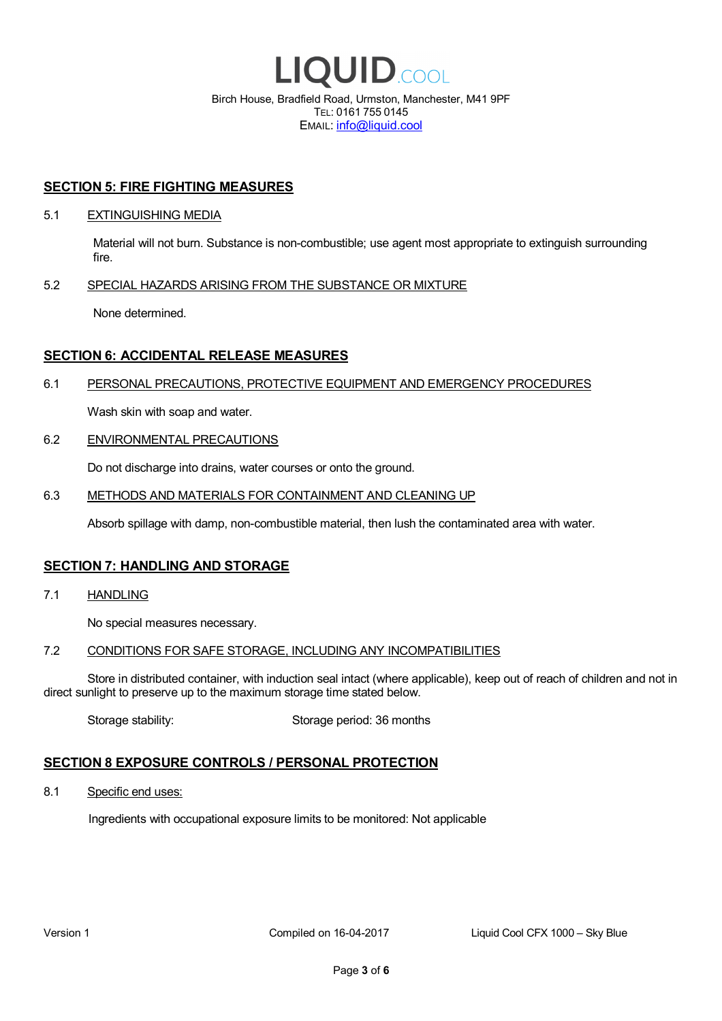

EMAIL: info@liquid.cool

#### **SECTION 5: FIRE FIGHTING MEASURES**

#### 5.1 EXTINGUISHING MEDIA

Material will not burn. Substance is non-combustible; use agent most appropriate to extinguish surrounding fire.

#### 5.2 SPECIAL HAZARDS ARISING FROM THE SUBSTANCE OR MIXTURE

None determined.

### **SECTION 6: ACCIDENTAL RELEASE MEASURES**

#### 6.1 PERSONAL PRECAUTIONS, PROTECTIVE EQUIPMENT AND EMERGENCY PROCEDURES

Wash skin with soap and water.

#### 6.2 ENVIRONMENTAL PRECAUTIONS

Do not discharge into drains, water courses or onto the ground.

#### 6.3 METHODS AND MATERIALS FOR CONTAINMENT AND CLEANING UP

Absorb spillage with damp, non-combustible material, then lush the contaminated area with water.

#### **SECTION 7: HANDLING AND STORAGE**

7.1 HANDLING

No special measures necessary.

#### 7.2 CONDITIONS FOR SAFE STORAGE, INCLUDING ANY INCOMPATIBILITIES

Store in distributed container, with induction seal intact (where applicable), keep out of reach of children and not in direct sunlight to preserve up to the maximum storage time stated below.

Storage stability: Storage period: 36 months

# **SECTION 8 EXPOSURE CONTROLS / PERSONAL PROTECTION**

8.1 Specific end uses:

Ingredients with occupational exposure limits to be monitored: Not applicable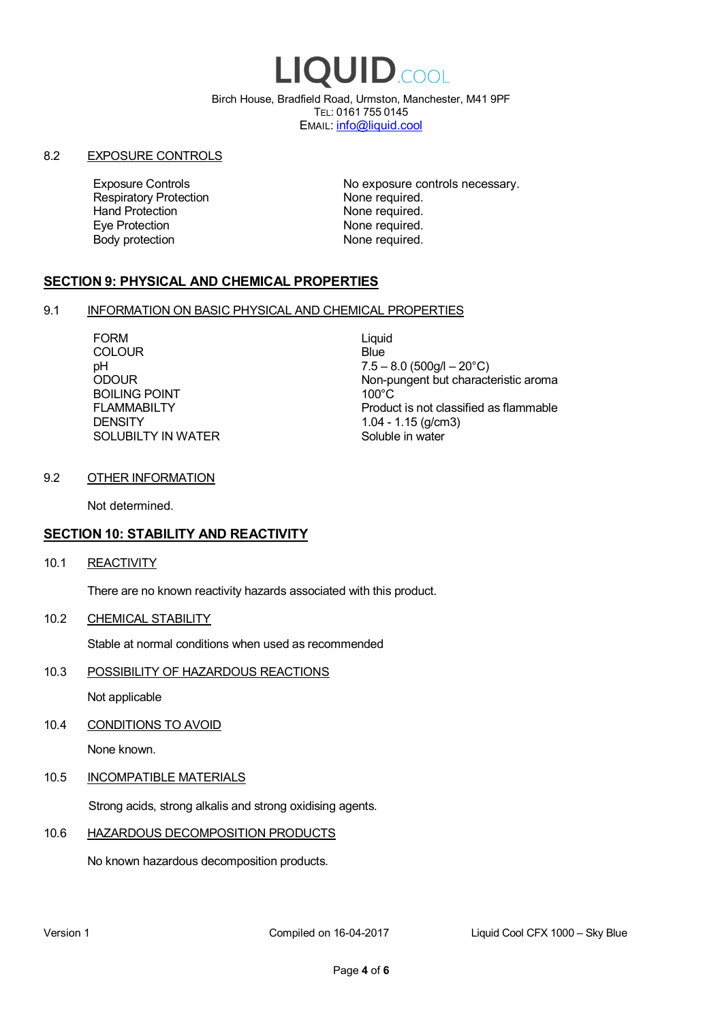# LIQUID.COOL

Birch House, Bradfield Road, Urmston, Manchester, M41 9PF TEL: 0161 755 0145 EMAIL: info@liquid.cool

#### 8.2 EXPOSURE CONTROLS

Respiratory Protection **None required.**<br>
Hand Protection **None required.** Eye Protection **None required.** Body protection None required.

Exposure Controls **Exposure Controls** No exposure controls necessary. None required.

# **SECTION 9: PHYSICAL AND CHEMICAL PROPERTIES**

#### 9.1 INFORMATION ON BASIC PHYSICAL AND CHEMICAL PROPERTIES

FORM Liquid COLOUR Blue BOILING POINT FLAMMABILTY **DENSITY** SOLUBILTY IN WATER

pH<br>
DDOUR
20°C)
2000UR
2000UR
2000UR
2000UR Non-pungent but characteristic aroma 100°C Product is not classified as flammable 1.04 - 1.15 (g/cm3) Soluble in water

#### 9.2 OTHER INFORMATION

Not determined.

# **SECTION 10: STABILITY AND REACTIVITY**

10.1 REACTIVITY

There are no known reactivity hazards associated with this product.

10.2 CHEMICAL STABILITY

Stable at normal conditions when used as recommended

10.3 POSSIBILITY OF HAZARDOUS REACTIONS

Not applicable

10.4 CONDITIONS TO AVOID

None known.

#### 10.5 INCOMPATIBLE MATERIALS

Strong acids, strong alkalis and strong oxidising agents.

# 10.6 HAZARDOUS DECOMPOSITION PRODUCTS

No known hazardous decomposition products.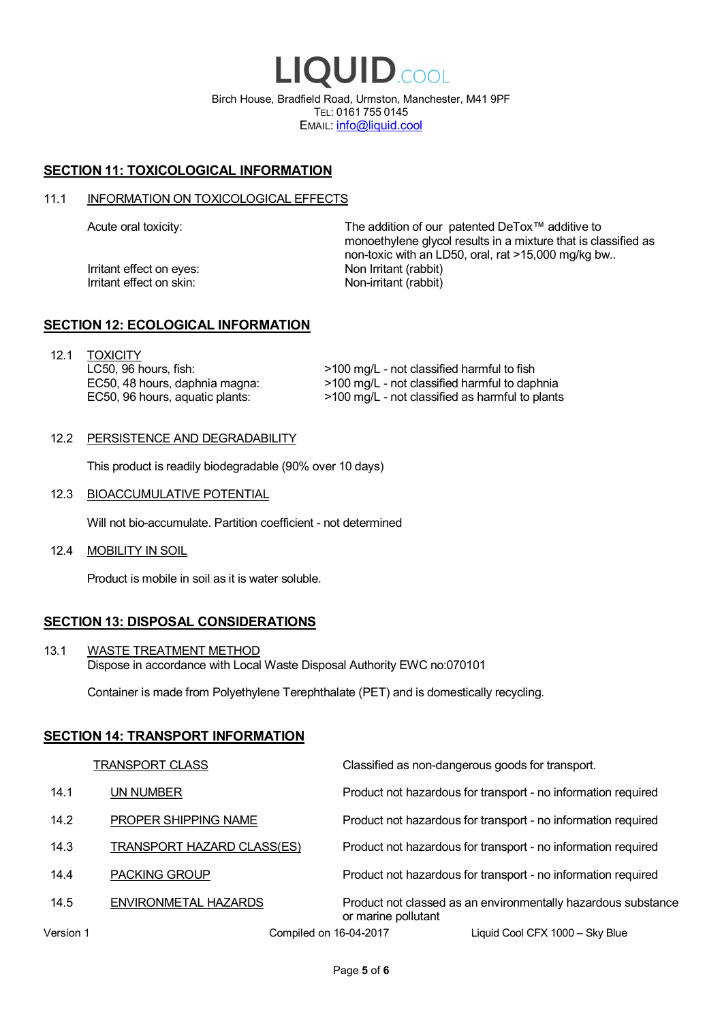LIQUID.COOL Birch House, Bradfield Road, Urmston, Manchester, M41 9PF TEL: 0161 755 0145 EMAIL: info@liquid.cool

# **SECTION 11: TOXICOLOGICAL INFORMATION**

#### 11.1 INFORMATION ON TOXICOLOGICAL EFFECTS

Irritant effect on eves: Non Irritant (rabbit) Irritant effect on skin: Non-irritant (rabbit)

Acute oral toxicity: The addition of our patented DeTox™ additive to monoethylene glycol results in a mixture that is classified as non-toxic with an LD50, oral, rat >15,000 mg/kg bw..

#### **SECTION 12: ECOLOGICAL INFORMATION**

12.1 TOXICITY LC50, 96 hours, fish: EC50, 48 hours, daphnia magna: EC50, 96 hours, aquatic plants:

>100 mg/L - not classified harmful to fish >100 mg/L - not classified harmful to daphnia >100 mg/L - not classified as harmful to plants

#### 12.2 PERSISTENCE AND DEGRADABILITY

This product is readily biodegradable (90% over 10 days)

12.3 BIOACCUMULATIVE POTENTIAL

Will not bio-accumulate. Partition coefficient - not determined

12.4 MOBILITY IN SOIL

Product is mobile in soil as it is water soluble.

# **SECTION 13: DISPOSAL CONSIDERATIONS**

13.1 WASTE TREATMENT METHOD Dispose in accordance with Local Waste Disposal Authority EWC no:070101

Container is made from Polyethylene Terephthalate (PET) and is domestically recycling.

#### **SECTION 14: TRANSPORT INFORMATION**

|           | <b>TRANSPORT CLASS</b>            | Classified as non-dangerous goods for transport.                                     |
|-----------|-----------------------------------|--------------------------------------------------------------------------------------|
| 14.1      | UN NUMBER                         | Product not hazardous for transport - no information required                        |
| 14.2      | PROPER SHIPPING NAME              | Product not hazardous for transport - no information required                        |
| 14.3      | <b>TRANSPORT HAZARD CLASS(ES)</b> | Product not hazardous for transport - no information required                        |
| 14.4      | <b>PACKING GROUP</b>              | Product not hazardous for transport - no information required                        |
| 14.5      | ENVIRONMETAL HAZARDS              | Product not classed as an environmentally hazardous substance<br>or marine pollutant |
| Version 1 | Compiled on 16-04-2017            | Liquid Cool CFX 1000 - Sky Blue                                                      |